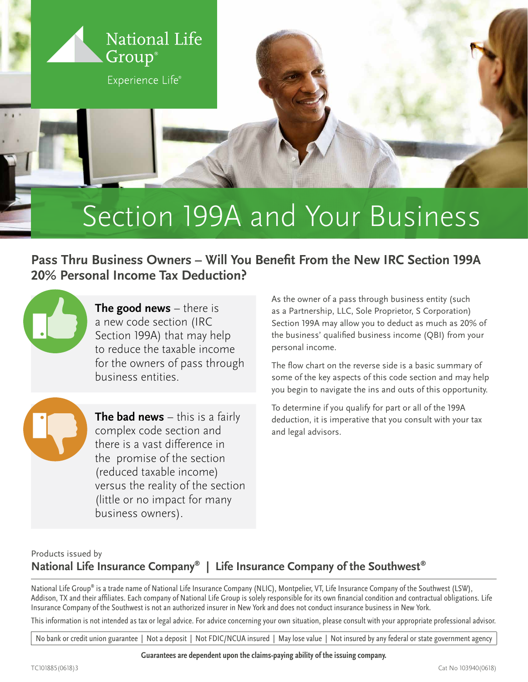

## Section 199A and Your Business

**Pass Thru Business Owners – Will You Benefit From the New IRC Section 199A 20% Personal Income Tax Deduction?**



**The good news** – there is a new code section (IRC Section 199A) that may help to reduce the taxable income for the owners of pass through business entities.

**The bad news** – this is a fairly complex code section and there is a vast difference in the promise of the section (reduced taxable income) versus the reality of the section (little or no impact for many business owners).

As the owner of a pass through business entity (such as a Partnership, LLC, Sole Proprietor, S Corporation) Section 199A may allow you to deduct as much as 20% of the business' qualified business income (QBI) from your personal income.

The flow chart on the reverse side is a basic summary of some of the key aspects of this code section and may help you begin to navigate the ins and outs of this opportunity.

To determine if you qualify for part or all of the 199A deduction, it is imperative that you consult with your tax and legal advisors.

## Products issued by **National Life Insurance Company® | Life Insurance Company of the Southwest®**

National Life Group® is a trade name of National Life Insurance Company (NLIC), Montpelier, VT, Life Insurance Company of the Southwest (LSW), Addison, TX and their affiliates. Each company of National Life Group is solely responsible for its own financial condition and contractual obligations. Life Insurance Company of the Southwest is not an authorized insurer in New York and does not conduct insurance business in New York.

This information is not intended as tax or legal advice. For advice concerning your own situation, please consult with your appropriate professional advisor.

No bank or credit union guarantee | Not a deposit | Not FDIC/NCUA insured | May lose value | Not insured by any federal or state government agency

**Guarantees are dependent upon the claims-paying ability of the issuing company.**